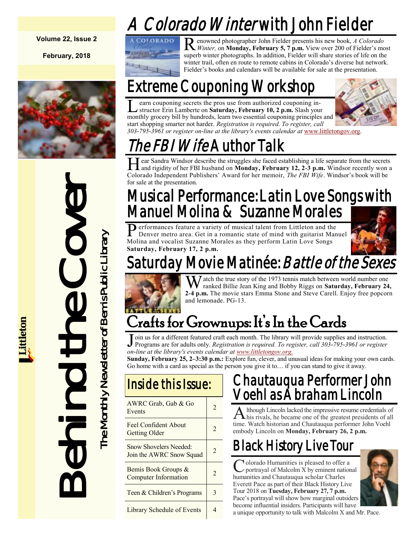# *Colorado Winter* with John Fielder

**Volume 22, Issue 2**

**February, 2018**



Behind the Cover

The Monthly Newsletter of Bemis Public Library The Monthly Newsletter of Bemis Public Library



R enowned photographer John Fielder presents his new book, *A Colorado Winter,* on **Monday, February 5, 7 p.m.** View over 200 of Fielder's most superb winter photographs. In addition, Fielder will share stories of life on the winter trail, often en route to remote cabins in Colorado's diverse hut network. Fielder's books and calendars will be available for sale at the presentation.

# Extreme Couponing Workshop

 $\overline{\mathsf{L}}$ earn couponing secrets the pros use from authorized couponing instructor Erin Lamberte on **Saturday, February 10, 2 p.m.** Slash your monthly grocery bill by hundreds, learn two essential couponing principles and start shopping smarter not harder. *Registration is required. To register, call 303-795-3961 or register on-line at the library's events calendar at* [www.littletongov.org.](https://www.littletongov.org/city-services/city-departments/bemis-library/library-events-calendar/-curm-2/-cury-2018)



# *he FBI Wife* Author Talk

Hear Sandra Windsor describe the struggles she faced establishing a life separate from the secrets and rigidity of her FBI husband on **Monday, February 12, 2-3 p.m.** Windsor recently won a ear Sandra Windsor describe the struggles she faced establishing a life separate from the secrets Colorado Independent Publishers' Award for her memoir, *The FBI Wife*. Windsor's book will be for sale at the presentation.

## Musical Performance: Latin Love Songs with Manuel Molina & Suzanne Morales

Performances feature a variety of musical talent from Littleton and the Denver metro area. Get in a romantic state of mind with guitarist Man Denver metro area. Get in a romantic state of mind with guitarist Manuel Molina and vocalist Suzanne Morales as they perform Latin Love Songs **Saturday, February 17, 2 p.m.**



# lay Movie Matinée: *Battle of the Sexes*



 $J$  atch the true story of the 1973 tennis match between world number one ranked Billie Jean King and Bobby Riggs on **Saturday, February 24, 2-4 p.m.** The movie stars Emma Stone and Steve Carell. Enjoy free popcorn and lemonade. PG-13.

# Crafts for Grownups: It's In the Cards

Join us for a different featured craft each month. The library will provide supplies and instruction.<br>Programs are for adults only. *Registration is required. To register, call 303-795-3961 or register* oin us for a different featured craft each month. The library will provide supplies and instruction. *on-line at the library's events calendar at [www.littletongov.org.](https://www.littletongov.org/city-services/city-departments/bemis-library/library-events-calendar/-curm-2/-cury-2018)*

**Sunday, February 25, 2–3:30 p.m.:** Explore fun, clever, and unusual ideas for making your own cards. Go home with a card as special as the person you give it to… if you can stand to give it away.

### Inside this Issue:

| AWRC Grab, Gab & Go<br>Events                                  |   |
|----------------------------------------------------------------|---|
| Feel Confident About<br>Getting Older                          |   |
| Snow Shovelers Needed <sup>-</sup><br>Join the AWRC Snow Squad | 2 |
| Bemis Book Groups &<br>Computer Information                    | 7 |
| Teen & Children's Programs                                     | 3 |
| Library Schedule of Events                                     |   |

### Chautauqua Performer John Voehl as Abraham Lincoln

A Ithough Lincoln lacked the impressive resume credentials of<br>his rivals, he became one of the greatest presidents of all lthough Lincoln lacked the impressive resume credentials of time. Watch historian and Chautauqua performer John Voehl embody Lincoln on **Monday, February 26, 2 p.m.**

# Black History Live Tour

Colorado Humanities is pleased to offer a<br>portrayal of Malcolm X by eminent national olorado Humanities is pleased to offer a humanities and Chautauqua scholar Charles Everett Pace as part of their Black History Live Tour 2018 on **Tuesday, February 27, 7 p.m.**  Pace's portrayal will show how marginal outsiders become influential insiders. Participants will have



a unique opportunity to talk with Malcolm X and Mr. Pace.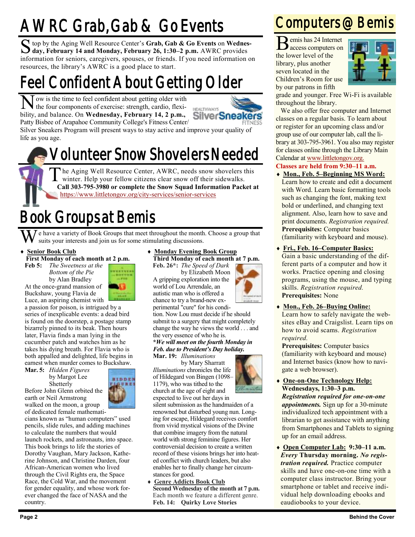# AWRC Grab, Gab & Go Events

S top by the Aging Well Resource Center's Grab, Gab & Go Events on Wednes<br>day, February 14 and Monday, February 26, 1:30–2 p.m. AWRC provides top by the Aging Well Resource Center's **Grab, Gab & Go Events** on **Wednes**information for seniors, caregivers, spouses, or friends. If you need information on resources, the library's AWRC is a good place to start.

## Feel Confident About Getting Older

N ow is the time to feel confident about getting older with the four components of exercise: strength, cardio, flexithe four components of exercise: strength, cardio, flexibility, and balance. On **Wednesday, February 14, 2 p.m.,** Patty Bisbee of Arapahoe Community College's Fitness Center/



Silver Sneakers Program will present ways to stay active and improve your quality of life as you age.

## Volunteer Snow Shovelers Needed

T he Aging Well Resource Center, AWRC, needs snow shovelers this winter. Help your fellow citizens clear snow off their sidewalks. **Call 303-795-3980 or complete the Snow Squad Information Packet at**  <https://www.littletongov.org/city-services/senior-services>

## Book Groups at Bemis

e have a variety of Book Groups that meet throughout the month. Choose a group that suits your interests and join us for some stimulating discussions.

**Senior Book Club**

**First Monday of each month at 2 p.m.**

**Feb 5:** *The Sweetness at the Bottom of the Pie* by Alan Bradley At the once-grand mansion of

Buckshaw, young Flavia de



Luce, an aspiring chemist with a passion for poison, is intrigued by a series of inexplicable events: a dead bird is found on the doorstep, a postage stamp bizarrely pinned to its beak. Then hours later, Flavia finds a man lying in the cucumber patch and watches him as he takes his dying breath. For Flavia who is both appalled and delighted, life begins in earnest when murder comes to Buckshaw.

**Mar. 5:** *Hidden Figures* by Margot Lee Shetterly Before John Glenn orbited the earth or Neil Armstrong walked on the moon, a group



of dedicated female mathematicians known as "human computers" used pencils, slide rules, and adding machines to calculate the numbers that would launch rockets, and astronauts, into space. This book brings to life the stories of Dorothy Vaughan, Mary Jackson, Katherine Johnson, and Christine Darden, four African-American women who lived through the Civil Rights era, the Space Race, the Cold War, and the movement for gender equality, and whose work forever changed the face of NASA and the country.

 **Monday Evening Book Group Third Monday of each month at 7 p.m.**

**Feb. 26\*:** *The Speed of Dark* by Elizabeth Moon A gripping exploration into the world of Lou Arrendale, an autistic man who is offered a chance to try a brand-new ex-

perimental "cure" for his condition. Now Lou must decide if he should submit to a surgery that might completely change the way he views the world . . . and the very essence of who he is.

#### **\****We will meet on the fourth Monday in Feb. due to President's Day holiday.* **Mar. 19:** *Illuminations*

by Mary Sharratt *Illuminations* chronicles the life of Hildegard von Bingen (1098– 1179), who was tithed to the church at the age of eight and



expected to live out her days in silent submission as the handmaiden of a renowned but disturbed young nun. Longing for escape, Hildegard receives comfort from vivid mystical visions of the Divine that combine imagery from the natural world with strong feminine figures. Her controversial decision to create a written record of these visions brings her into heated conflict with church leaders, but also enables her to finally change her circumstances for good.

 **Genre Addicts Book Club Second Wednesday of the month at 7 p.m.** Each month we feature a different genre. **Feb. 14: Quirky Love Stories**

### Computers @ Bemis

emis has 24 Internet

B emis has 24 Internet the lower level of the library, plus another seven located in the Children's Room for use by our patrons in fifth



grade and younger. Free Wi-Fi is available throughout the library.

We also offer free computer and Internet classes on a regular basis. To learn about or register for an upcoming class and/or group use of our computer lab, call the library at 303-795-3961. You also may register for classes online through the Library Main Calendar at [www.littletongov.org.](https://www.littletongov.org/city-services/city-departments/bemis-library/library-events-calendar/-curm-2/-cury-2018/-selcat-157)

- **Classes are held from 9:30–11 a.m.**
- **Mon., Feb. 5–Beginning MS Word:** Learn how to create and edit a document with Word. Learn basic formatting tools such as changing the font, making text bold or underlined, and changing text alignment. Also, learn how to save and print documents. *Registration required.* **Prerequisites:** Computer basics (familiarity with keyboard and mouse).
- **Fri., Feb. 16–Computer Basics:** Gain a basic understanding of the different parts of a computer and how it works. Practice opening and closing programs, using the mouse, and typing skills. *Registration required.* **Prerequisites:** None
- **Mon., Feb. 26–Buying Online:** Learn how to safely navigate the websites eBay and Craigslist. Learn tips on how to avoid scams. *Registration required.*

**Prerequisites:** Computer basics (familiarity with keyboard and mouse) and Internet basics (know how to navigate a web browser).

- **One-on-One Technology Help: Wednesdays, 1:30–3 p.m.** *Registration required for one-on-one appointments.* Sign up for a 30-minute individualized tech appointment with a librarian to get assistance with anything from Smartphones and Tablets to signing up for an email address.
- **Open Computer Lab: 9:30–11 a.m.** *Every* **Thursday morning.** *No registration required.* Practice computer skills and have one-on-one time with a computer class instructor. Bring your smartphone or tablet and receive individual help downloading ebooks and eaudiobooks to your device.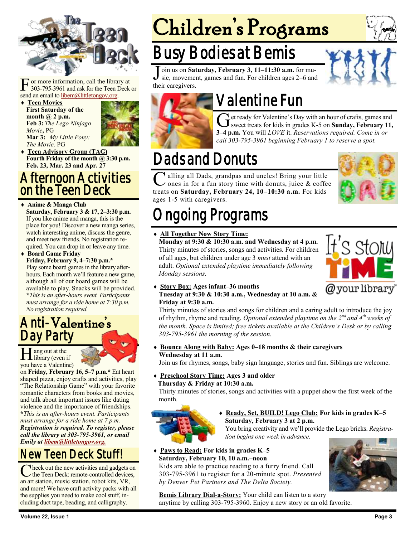

 $\Gamma$  or more information, call the librar<br>303-795-3961 and ask for the Teen I<br>send an email to <u>libem@littletongov.org</u>. or more information, call the library at 303-795-3961 and ask for the Teen Deck or

 **Teen Movies First Saturday of the month @ 2 p.m. Feb 3:** *The Lego Ninjago Movie***,** PG **Mar 3:** *My Little Pony: The Movie,* PG



 **Teen Advisory Group (TAG) Fourth Friday of the month @ 3:30 p.m. Feb. 23, Mar. 23 and Apr. 27**

### Afternoon Activities on the Teen Deck

#### **Anime & Manga Club**

**Saturday, February 3 & 17, 2–3:30 p.m.** If you like anime and manga, this is the place for you! Discover a new manga series, watch interesting anime, discuss the genre, and meet new friends. No registration required. You can drop in or leave any time.

 **Board Game Friday Friday, February 9, 4–7:30 p.m.\*** Play some board games in the library afterhours. Each month we'll feature a new game, although all of our board games will be available to play. Snacks will be provided. **\****This is an after-hours event. Participants must arrange for a ride home at 7:30 p.m. No registration required.*

### Anti-Valentine's Day Party

H ang out at the library (even if ang out at the you have a Valentine)

on **Friday, February 16, 5–7 p.m.\*** Eat heart shaped pizza, enjoy crafts and activities, play "The Relationship Game" with your favorite romantic characters from books and movies, and talk about important issues like dating violence and the importance of friendships. **\****This is an after-hours event. Participants must arrange for a ride home at 7 p.m. Registration is required. To register, please call the library at 303-795-3961, or email Emily at [libem@littletongov.org.](mailto:libem@littletongov.org.)*

### New Teen Deck Stuff!

C heck out the new activities and gadgets of<br>the Teen Deck: remote-controlled devices<br>an art station, music station, robot kits, VR, heck out the new activities and gadgets on  $\angle$  the Teen Deck: remote-controlled devices, and more! We have craft activity packs with all the supplies you need to make cool stuff, including duct tape, beading, and calligraphy.

# Children's Programs

## sy Bodies at Bemis

J oin us on **Saturday, February 3, 11–11:30 a.m.** for music, movement, games and fun. For children ages 2–6 and their caregivers.



# Valentine Fun

Get ready for Valentine's Day with an hour of crafts, games and sweet treats for kids in grades K-5 on **Sunday, February 11,** et ready for Valentine's Day with an hour of crafts, games and **3–4 p.m.** You will *LOVE* it. *Reservations required. Come in or call 303-795-3961 beginning February 1 to reserve a spot.*

## Dads and Donuts

 $\overline{\mathsf{C}}$ alling all Dads, grandpas and uncles! Bring your little ones in for a fun story time with donuts, juice & coffee treats on **Saturday, February 24, 10–10:30 a.m.** For kids ages 1-5 with caregivers.



## ngoing Programs

#### **All Together Now Story Time:**

**Monday at 9:30 & 10:30 a.m. and Wednesday at 4 p.m.** Thirty minutes of stories, songs and activities. For children of all ages, but children under age 3 *must* attend with an adult. *Optional extended playtime immediately following Monday sessions.*



### **Story Box: Ages infant–36 months**

### **Tuesday at 9:30 & 10:30 a.m., Wednesday at 10 a.m. & Friday at 9:30 a.m.**

Thirty minutes of stories and songs for children and a caring adult to introduce the joy of rhythm, rhyme and reading. *Optional extended playtime on the 2nd and 4th weeks of the month. Space is limited; free tickets available at the Children's Desk or by calling 303-795-3961 the morning of the session.*

 **Bounce Along with Baby: Ages 0–18 months & their caregivers Wednesday at 11 a.m.**

Join us for rhymes, songs, baby sign language, stories and fun. Siblings are welcome.

### **Preschool Story Time: Ages 3 and older**

#### **Thursday & Friday at 10:30 a.m.**

Thirty minutes of stories, songs and activities with a puppet show the first week of the month.



 **Ready, Set, BUILD! Lego Club: For kids in grades K–5 Saturday, February 3 at 2 p.m.**

You bring creativity and we'll provide the Lego bricks. *Registration begins one week in advance.*

 **Paws to Read: For kids in grades K–5 Saturday, February 10, 10 a.m.–noon**

Kids are able to practice reading to a furry friend. Call 303-795-3961 to register for a 20-minute spot. *Presented by Denver Pet Partners and The Delta Society.*



**Bemis Library Dial-a-Story:** Your child can listen to a story anytime by calling 303-795-3960. Enjoy a new story or an old favorite.